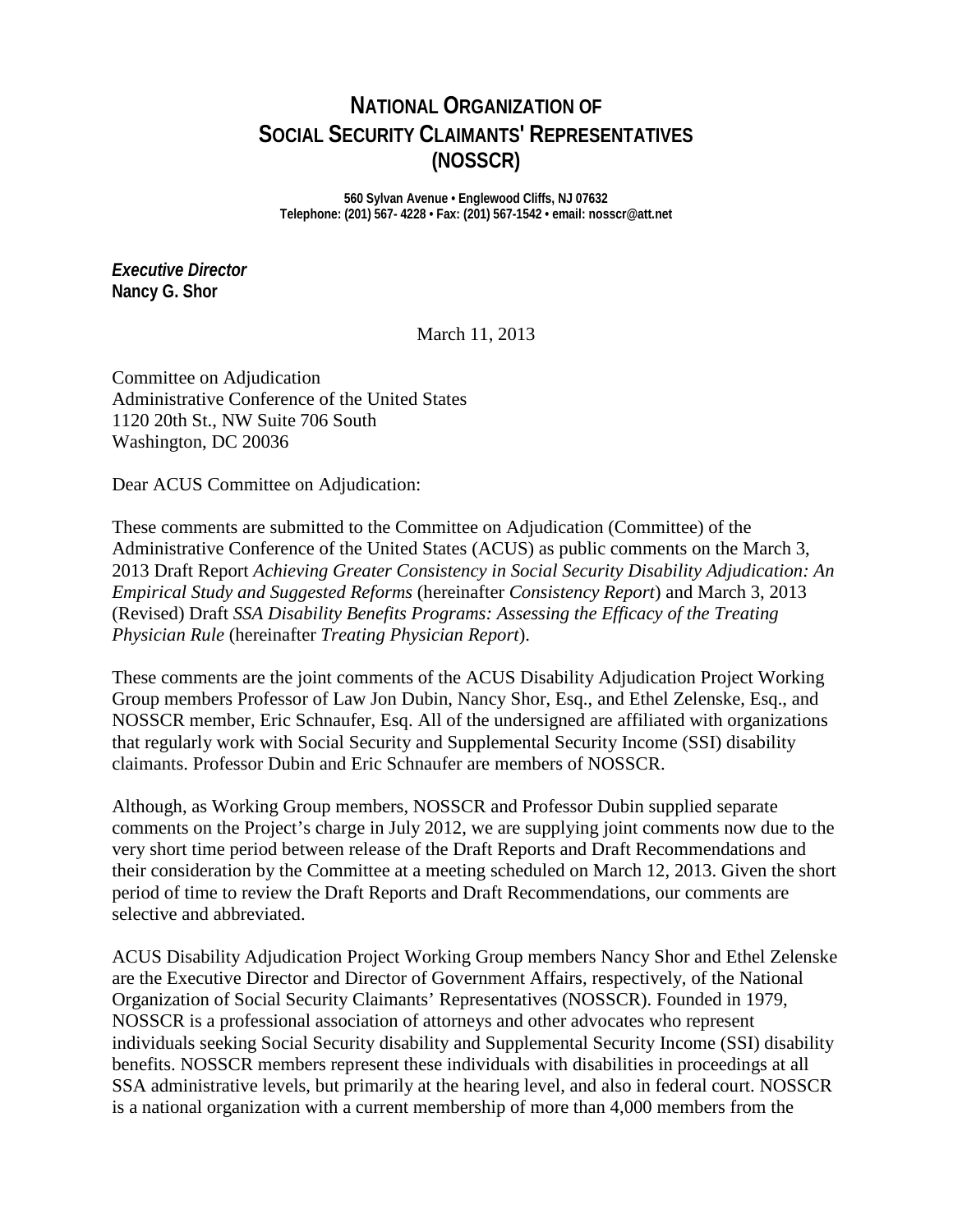# **NATIONAL ORGANIZATION OF SOCIAL SECURITY CLAIMANTS' REPRESENTATIVES (NOSSCR)**

**560 Sylvan Avenue • Englewood Cliffs, NJ 07632 Telephone: (201) 567- 4228 • Fax: (201) 567-1542 • email: nosscr@att.net**

*Executive Director* **Nancy G. Shor**

March 11, 2013

Committee on Adjudication Administrative Conference of the United States 1120 20th St., NW Suite 706 South Washington, DC 20036

Dear ACUS Committee on Adjudication:

These comments are submitted to the Committee on Adjudication (Committee) of the Administrative Conference of the United States (ACUS) as public comments on the March 3, 2013 Draft Report *Achieving Greater Consistency in Social Security Disability Adjudication: An Empirical Study and Suggested Reforms* (hereinafter *Consistency Report*) and March 3, 2013 (Revised) Draft *SSA Disability Benefits Programs: Assessing the Efficacy of the Treating Physician Rule* (hereinafter *Treating Physician Report*).

These comments are the joint comments of the ACUS Disability Adjudication Project Working Group members Professor of Law Jon Dubin, Nancy Shor, Esq., and Ethel Zelenske, Esq., and NOSSCR member, Eric Schnaufer, Esq. All of the undersigned are affiliated with organizations that regularly work with Social Security and Supplemental Security Income (SSI) disability claimants. Professor Dubin and Eric Schnaufer are members of NOSSCR.

Although, as Working Group members, NOSSCR and Professor Dubin supplied separate comments on the Project's charge in July 2012, we are supplying joint comments now due to the very short time period between release of the Draft Reports and Draft Recommendations and their consideration by the Committee at a meeting scheduled on March 12, 2013. Given the short period of time to review the Draft Reports and Draft Recommendations, our comments are selective and abbreviated.

ACUS Disability Adjudication Project Working Group members Nancy Shor and Ethel Zelenske are the Executive Director and Director of Government Affairs, respectively, of the National Organization of Social Security Claimants' Representatives (NOSSCR). Founded in 1979, NOSSCR is a professional association of attorneys and other advocates who represent individuals seeking Social Security disability and Supplemental Security Income (SSI) disability benefits. NOSSCR members represent these individuals with disabilities in proceedings at all SSA administrative levels, but primarily at the hearing level, and also in federal court. NOSSCR is a national organization with a current membership of more than 4,000 members from the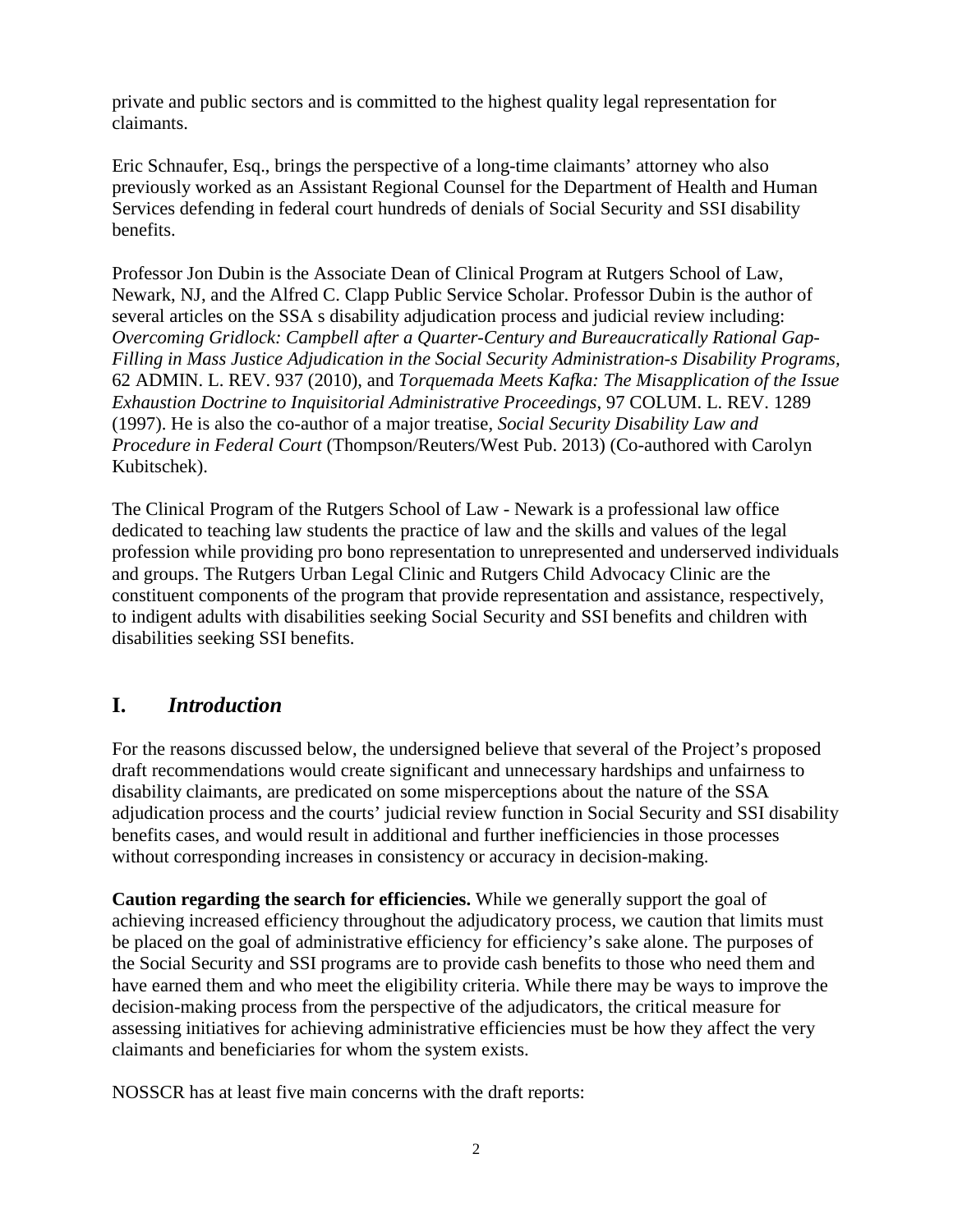private and public sectors and is committed to the highest quality legal representation for claimants.

Eric Schnaufer, Esq., brings the perspective of a long-time claimants' attorney who also previously worked as an Assistant Regional Counsel for the Department of Health and Human Services defending in federal court hundreds of denials of Social Security and SSI disability benefits.

Professor Jon Dubin is the Associate Dean of Clinical Program at Rutgers School of Law, Newark, NJ, and the Alfred C. Clapp Public Service Scholar. Professor Dubin is the author of several articles on the SSA s disability adjudication process and judicial review including: *Overcoming Gridlock: Campbell after a Quarter-Century and Bureaucratically Rational Gap-Filling in Mass Justice Adjudication in the Social Security Administration-s Disability Programs,*  62 ADMIN. L. REV. 937 (2010), and *Torquemada Meets Kafka: The Misapplication of the Issue Exhaustion Doctrine to Inquisitorial Administrative Proceedings*, 97 COLUM. L. REV. 1289 (1997). He is also the co-author of a major treatise, *Social Security Disability Law and Procedure in Federal Court* (Thompson/Reuters/West Pub. 2013) (Co-authored with Carolyn Kubitschek).

The Clinical Program of the Rutgers School of Law - Newark is a professional law office dedicated to teaching law students the practice of law and the skills and values of the legal profession while providing pro bono representation to unrepresented and underserved individuals and groups. The Rutgers Urban Legal Clinic and Rutgers Child Advocacy Clinic are the constituent components of the program that provide representation and assistance, respectively, to indigent adults with disabilities seeking Social Security and SSI benefits and children with disabilities seeking SSI benefits.

## **I.** *Introduction*

For the reasons discussed below, the undersigned believe that several of the Project's proposed draft recommendations would create significant and unnecessary hardships and unfairness to disability claimants, are predicated on some misperceptions about the nature of the SSA adjudication process and the courts' judicial review function in Social Security and SSI disability benefits cases, and would result in additional and further inefficiencies in those processes without corresponding increases in consistency or accuracy in decision-making.

**Caution regarding the search for efficiencies.** While we generally support the goal of achieving increased efficiency throughout the adjudicatory process, we caution that limits must be placed on the goal of administrative efficiency for efficiency's sake alone. The purposes of the Social Security and SSI programs are to provide cash benefits to those who need them and have earned them and who meet the eligibility criteria. While there may be ways to improve the decision-making process from the perspective of the adjudicators, the critical measure for assessing initiatives for achieving administrative efficiencies must be how they affect the very claimants and beneficiaries for whom the system exists.

NOSSCR has at least five main concerns with the draft reports: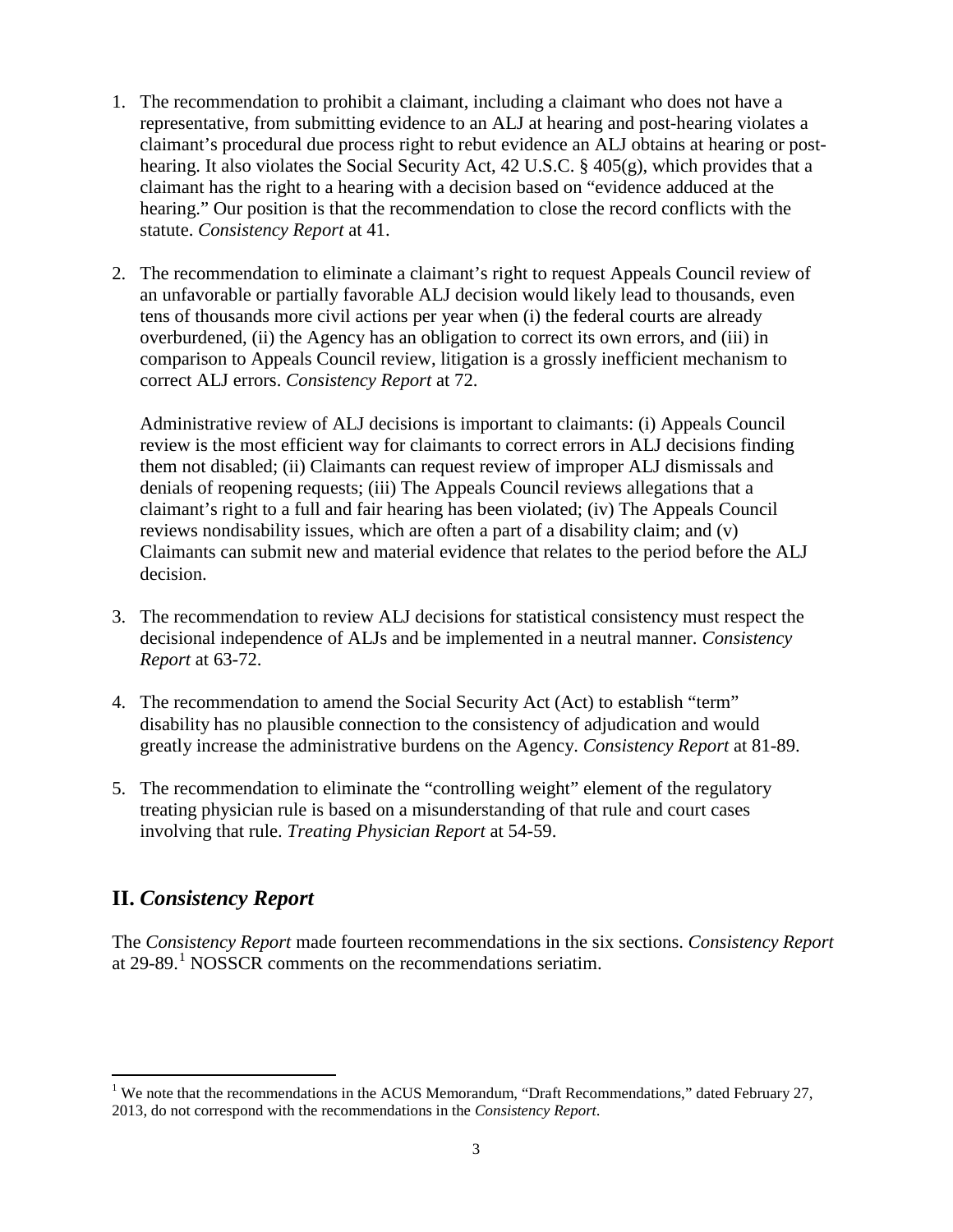- 1. The recommendation to prohibit a claimant, including a claimant who does not have a representative, from submitting evidence to an ALJ at hearing and post-hearing violates a claimant's procedural due process right to rebut evidence an ALJ obtains at hearing or posthearing. It also violates the Social Security Act, 42 U.S.C. § 405(g), which provides that a claimant has the right to a hearing with a decision based on "evidence adduced at the hearing." Our position is that the recommendation to close the record conflicts with the statute. *Consistency Report* at 41.
- 2. The recommendation to eliminate a claimant's right to request Appeals Council review of an unfavorable or partially favorable ALJ decision would likely lead to thousands, even tens of thousands more civil actions per year when (i) the federal courts are already overburdened, (ii) the Agency has an obligation to correct its own errors, and (iii) in comparison to Appeals Council review, litigation is a grossly inefficient mechanism to correct ALJ errors. *Consistency Report* at 72.

Administrative review of ALJ decisions is important to claimants: (i) Appeals Council review is the most efficient way for claimants to correct errors in ALJ decisions finding them not disabled; (ii) Claimants can request review of improper ALJ dismissals and denials of reopening requests; (iii) The Appeals Council reviews allegations that a claimant's right to a full and fair hearing has been violated; (iv) The Appeals Council reviews nondisability issues, which are often a part of a disability claim; and (v) Claimants can submit new and material evidence that relates to the period before the ALJ decision.

- 3. The recommendation to review ALJ decisions for statistical consistency must respect the decisional independence of ALJs and be implemented in a neutral manner. *Consistency Report* at 63-72.
- 4. The recommendation to amend the Social Security Act (Act) to establish "term" disability has no plausible connection to the consistency of adjudication and would greatly increase the administrative burdens on the Agency. *Consistency Report* at 81-89.
- 5. The recommendation to eliminate the "controlling weight" element of the regulatory treating physician rule is based on a misunderstanding of that rule and court cases involving that rule. *Treating Physician Report* at 54-59.

## **II.** *Consistency Report*

The *Consistency Report* made fourteen recommendations in the six sections. *Consistency Report* at  $29-89$ <sup>[1](#page-2-0)</sup> NOSSCR comments on the recommendations seriatim.

<span id="page-2-0"></span><sup>&</sup>lt;sup>1</sup> We note that the recommendations in the ACUS Memorandum, "Draft Recommendations," dated February 27, 2013, do not correspond with the recommendations in the *Consistency Report*.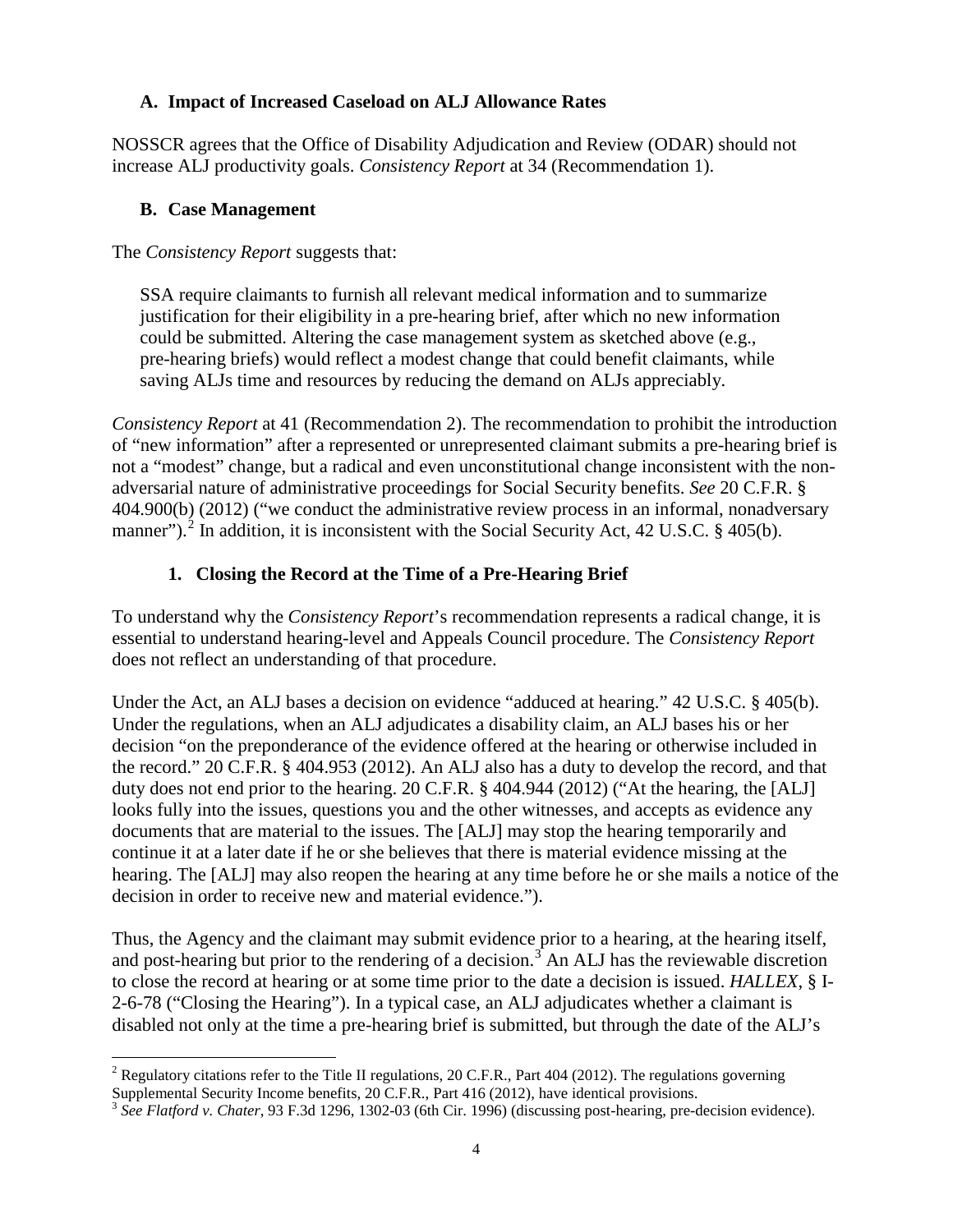#### **A. Impact of Increased Caseload on ALJ Allowance Rates**

NOSSCR agrees that the Office of Disability Adjudication and Review (ODAR) should not increase ALJ productivity goals. *Consistency Report* at 34 (Recommendation 1).

#### **B. Case Management**

#### The *Consistency Report* suggests that:

SSA require claimants to furnish all relevant medical information and to summarize justification for their eligibility in a pre-hearing brief, after which no new information could be submitted. Altering the case management system as sketched above (e.g., pre-hearing briefs) would reflect a modest change that could benefit claimants, while saving ALJs time and resources by reducing the demand on ALJs appreciably.

*Consistency Report* at 41 (Recommendation 2). The recommendation to prohibit the introduction of "new information" after a represented or unrepresented claimant submits a pre-hearing brief is not a "modest" change, but a radical and even unconstitutional change inconsistent with the nonadversarial nature of administrative proceedings for Social Security benefits. *See* 20 C.F.R. § 404.900(b) (2012) ("we conduct the administrative review process in an informal, nonadversary manner").<sup>[2](#page-3-0)</sup> In addition, it is inconsistent with the Social Security Act, 42 U.S.C. § 405(b).

### **1. Closing the Record at the Time of a Pre-Hearing Brief**

To understand why the *Consistency Report*'s recommendation represents a radical change, it is essential to understand hearing-level and Appeals Council procedure. The *Consistency Report* does not reflect an understanding of that procedure.

Under the Act, an ALJ bases a decision on evidence "adduced at hearing." 42 U.S.C. § 405(b). Under the regulations, when an ALJ adjudicates a disability claim, an ALJ bases his or her decision "on the preponderance of the evidence offered at the hearing or otherwise included in the record." 20 C.F.R. § 404.953 (2012). An ALJ also has a duty to develop the record, and that duty does not end prior to the hearing. 20 C.F.R. § 404.944 (2012) ("At the hearing, the [ALJ] looks fully into the issues, questions you and the other witnesses, and accepts as evidence any documents that are material to the issues. The [ALJ] may stop the hearing temporarily and continue it at a later date if he or she believes that there is material evidence missing at the hearing. The [ALJ] may also reopen the hearing at any time before he or she mails a notice of the decision in order to receive new and material evidence.").

Thus, the Agency and the claimant may submit evidence prior to a hearing, at the hearing itself, and post-hearing but prior to the rendering of a decision.<sup>[3](#page-3-1)</sup> An ALJ has the reviewable discretion to close the record at hearing or at some time prior to the date a decision is issued. *HALLEX*, § I-2-6-78 ("Closing the Hearing"). In a typical case, an ALJ adjudicates whether a claimant is disabled not only at the time a pre-hearing brief is submitted, but through the date of the ALJ's

<span id="page-3-0"></span><sup>&</sup>lt;sup>2</sup> Regulatory citations refer to the Title II regulations, 20 C.F.R., Part 404 (2012). The regulations governing Supplemental Security Income benefits, 20 C.F.R., Part 416 (2012), have identical provisions.

<span id="page-3-1"></span><sup>3</sup> *See Flatford v. Chater*, 93 F.3d 1296, 1302-03 (6th Cir. 1996) (discussing post-hearing, pre-decision evidence).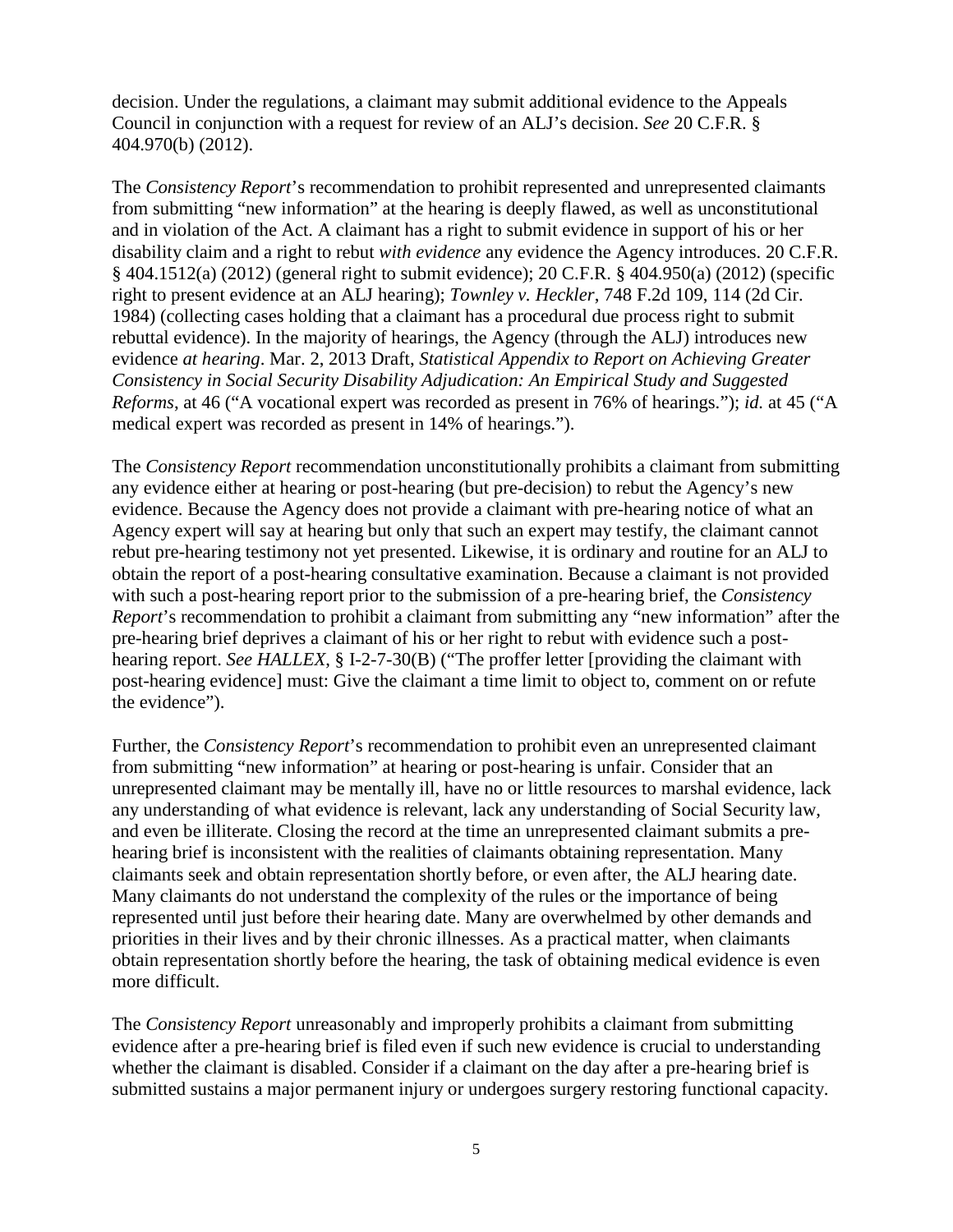decision. Under the regulations, a claimant may submit additional evidence to the Appeals Council in conjunction with a request for review of an ALJ's decision. *See* 20 C.F.R. § 404.970(b) (2012).

The *Consistency Report*'s recommendation to prohibit represented and unrepresented claimants from submitting "new information" at the hearing is deeply flawed, as well as unconstitutional and in violation of the Act. A claimant has a right to submit evidence in support of his or her disability claim and a right to rebut *with evidence* any evidence the Agency introduces. 20 C.F.R. § 404.1512(a) (2012) (general right to submit evidence); 20 C.F.R. § 404.950(a) (2012) (specific right to present evidence at an ALJ hearing); *Townley v. Heckler*, 748 F.2d 109, 114 (2d Cir. 1984) (collecting cases holding that a claimant has a procedural due process right to submit rebuttal evidence). In the majority of hearings, the Agency (through the ALJ) introduces new evidence *at hearing*. Mar. 2, 2013 Draft, *Statistical Appendix to Report on Achieving Greater Consistency in Social Security Disability Adjudication: An Empirical Study and Suggested Reforms*, at 46 ("A vocational expert was recorded as present in 76% of hearings."); *id.* at 45 ("A medical expert was recorded as present in 14% of hearings.").

The *Consistency Report* recommendation unconstitutionally prohibits a claimant from submitting any evidence either at hearing or post-hearing (but pre-decision) to rebut the Agency's new evidence. Because the Agency does not provide a claimant with pre-hearing notice of what an Agency expert will say at hearing but only that such an expert may testify, the claimant cannot rebut pre-hearing testimony not yet presented. Likewise, it is ordinary and routine for an ALJ to obtain the report of a post-hearing consultative examination. Because a claimant is not provided with such a post-hearing report prior to the submission of a pre-hearing brief, the *Consistency Report*'s recommendation to prohibit a claimant from submitting any "new information" after the pre-hearing brief deprives a claimant of his or her right to rebut with evidence such a posthearing report. *See HALLEX*, § I-2-7-30(B) ("The proffer letter [providing the claimant with post-hearing evidence] must: Give the claimant a time limit to object to, comment on or refute the evidence").

Further, the *Consistency Report*'s recommendation to prohibit even an unrepresented claimant from submitting "new information" at hearing or post-hearing is unfair. Consider that an unrepresented claimant may be mentally ill, have no or little resources to marshal evidence, lack any understanding of what evidence is relevant, lack any understanding of Social Security law, and even be illiterate. Closing the record at the time an unrepresented claimant submits a prehearing brief is inconsistent with the realities of claimants obtaining representation. Many claimants seek and obtain representation shortly before, or even after, the ALJ hearing date. Many claimants do not understand the complexity of the rules or the importance of being represented until just before their hearing date. Many are overwhelmed by other demands and priorities in their lives and by their chronic illnesses. As a practical matter, when claimants obtain representation shortly before the hearing, the task of obtaining medical evidence is even more difficult.

The *Consistency Report* unreasonably and improperly prohibits a claimant from submitting evidence after a pre-hearing brief is filed even if such new evidence is crucial to understanding whether the claimant is disabled. Consider if a claimant on the day after a pre-hearing brief is submitted sustains a major permanent injury or undergoes surgery restoring functional capacity.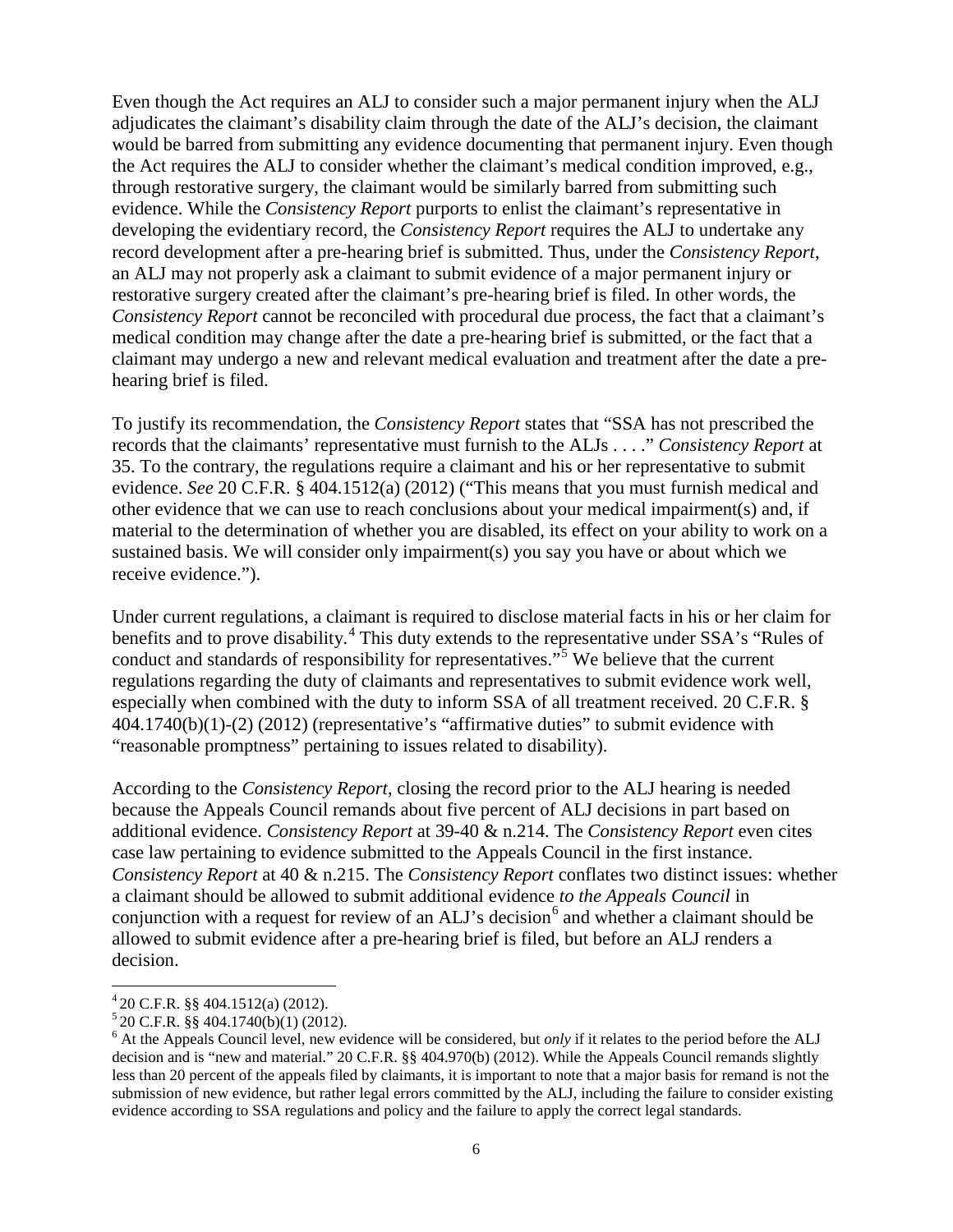Even though the Act requires an ALJ to consider such a major permanent injury when the ALJ adjudicates the claimant's disability claim through the date of the ALJ's decision, the claimant would be barred from submitting any evidence documenting that permanent injury. Even though the Act requires the ALJ to consider whether the claimant's medical condition improved, e.g., through restorative surgery, the claimant would be similarly barred from submitting such evidence. While the *Consistency Report* purports to enlist the claimant's representative in developing the evidentiary record, the *Consistency Report* requires the ALJ to undertake any record development after a pre-hearing brief is submitted. Thus, under the *Consistency Report*, an ALJ may not properly ask a claimant to submit evidence of a major permanent injury or restorative surgery created after the claimant's pre-hearing brief is filed. In other words, the *Consistency Report* cannot be reconciled with procedural due process, the fact that a claimant's medical condition may change after the date a pre-hearing brief is submitted, or the fact that a claimant may undergo a new and relevant medical evaluation and treatment after the date a prehearing brief is filed.

To justify its recommendation, the *Consistency Report* states that "SSA has not prescribed the records that the claimants' representative must furnish to the ALJs . . . ." *Consistency Report* at 35. To the contrary, the regulations require a claimant and his or her representative to submit evidence. *See* 20 C.F.R. § 404.1512(a) (2012) ("This means that you must furnish medical and other evidence that we can use to reach conclusions about your medical impairment(s) and, if material to the determination of whether you are disabled, its effect on your ability to work on a sustained basis. We will consider only impairment(s) you say you have or about which we receive evidence.").

Under current regulations, a claimant is required to disclose material facts in his or her claim for benefits and to prove disability.<sup>[4](#page-5-0)</sup> This duty extends to the representative under SSA's "Rules of conduct and standards of responsibility for representatives."[5](#page-5-1) We believe that the current regulations regarding the duty of claimants and representatives to submit evidence work well, especially when combined with the duty to inform SSA of all treatment received. 20 C.F.R. § 404.1740(b)(1)-(2) (2012) (representative's "affirmative duties" to submit evidence with "reasonable promptness" pertaining to issues related to disability).

According to the *Consistency Report*, closing the record prior to the ALJ hearing is needed because the Appeals Council remands about five percent of ALJ decisions in part based on additional evidence. *Consistency Report* at 39-40 & n.214. The *Consistency Report* even cites case law pertaining to evidence submitted to the Appeals Council in the first instance. *Consistency Report* at 40 & n.215. The *Consistency Report* conflates two distinct issues: whether a claimant should be allowed to submit additional evidence *to the Appeals Council* in conjunction with a request for review of an ALJ's decision $<sup>6</sup>$  $<sup>6</sup>$  $<sup>6</sup>$  and whether a claimant should be</sup> allowed to submit evidence after a pre-hearing brief is filed, but before an ALJ renders a decision.

<span id="page-5-1"></span><span id="page-5-0"></span> $^{4}$ 20 C.F.R. §§ 404.1512(a) (2012).<br><sup>5</sup> 20 C.F.R. §§ 404.1740(b)(1) (2012).

<span id="page-5-2"></span> $<sup>6</sup>$  At the Appeals Council level, new evidence will be considered, but *only* if it relates to the period before the ALJ</sup> decision and is "new and material." 20 C.F.R. §§ 404.970(b) (2012). While the Appeals Council remands slightly less than 20 percent of the appeals filed by claimants, it is important to note that a major basis for remand is not the submission of new evidence, but rather legal errors committed by the ALJ, including the failure to consider existing evidence according to SSA regulations and policy and the failure to apply the correct legal standards.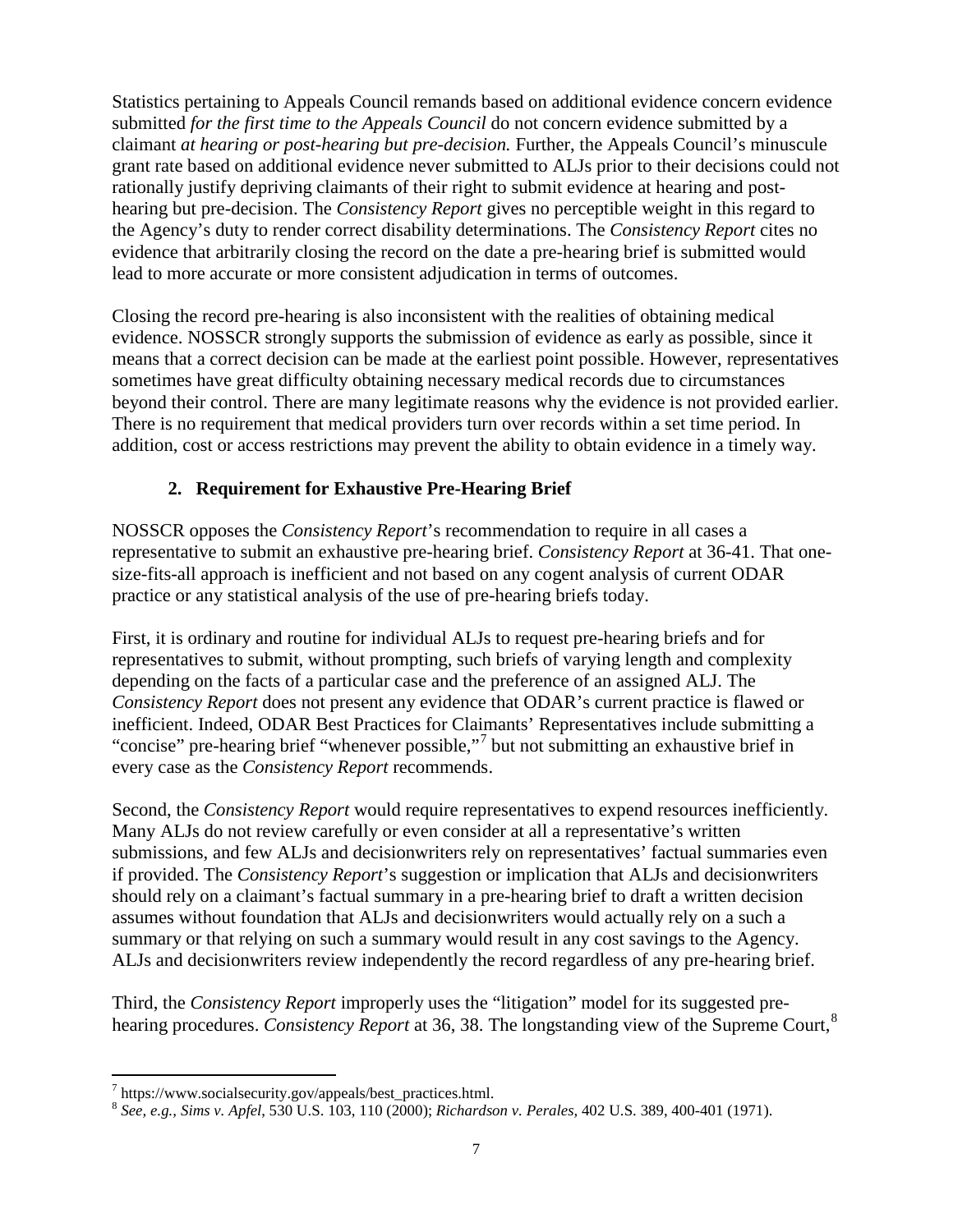Statistics pertaining to Appeals Council remands based on additional evidence concern evidence submitted *for the first time to the Appeals Council* do not concern evidence submitted by a claimant *at hearing or post-hearing but pre-decision.* Further, the Appeals Council's minuscule grant rate based on additional evidence never submitted to ALJs prior to their decisions could not rationally justify depriving claimants of their right to submit evidence at hearing and posthearing but pre-decision. The *Consistency Report* gives no perceptible weight in this regard to the Agency's duty to render correct disability determinations. The *Consistency Report* cites no evidence that arbitrarily closing the record on the date a pre-hearing brief is submitted would lead to more accurate or more consistent adjudication in terms of outcomes.

Closing the record pre-hearing is also inconsistent with the realities of obtaining medical evidence. NOSSCR strongly supports the submission of evidence as early as possible, since it means that a correct decision can be made at the earliest point possible. However, representatives sometimes have great difficulty obtaining necessary medical records due to circumstances beyond their control. There are many legitimate reasons why the evidence is not provided earlier. There is no requirement that medical providers turn over records within a set time period. In addition, cost or access restrictions may prevent the ability to obtain evidence in a timely way.

#### **2. Requirement for Exhaustive Pre-Hearing Brief**

NOSSCR opposes the *Consistency Report*'s recommendation to require in all cases a representative to submit an exhaustive pre-hearing brief. *Consistency Report* at 36-41. That onesize-fits-all approach is inefficient and not based on any cogent analysis of current ODAR practice or any statistical analysis of the use of pre-hearing briefs today.

First, it is ordinary and routine for individual ALJs to request pre-hearing briefs and for representatives to submit, without prompting, such briefs of varying length and complexity depending on the facts of a particular case and the preference of an assigned ALJ. The *Consistency Report* does not present any evidence that ODAR's current practice is flawed or inefficient. Indeed, ODAR Best Practices for Claimants' Representatives include submitting a "concise" pre-hearing brief "whenever possible,"[7](#page-6-0) but not submitting an exhaustive brief in every case as the *Consistency Report* recommends.

Second, the *Consistency Report* would require representatives to expend resources inefficiently. Many ALJs do not review carefully or even consider at all a representative's written submissions, and few ALJs and decisionwriters rely on representatives' factual summaries even if provided. The *Consistency Report*'s suggestion or implication that ALJs and decisionwriters should rely on a claimant's factual summary in a pre-hearing brief to draft a written decision assumes without foundation that ALJs and decisionwriters would actually rely on a such a summary or that relying on such a summary would result in any cost savings to the Agency. ALJs and decisionwriters review independently the record regardless of any pre-hearing brief.

Third, the *Consistency Report* improperly uses the "litigation" model for its suggested prehearing procedures. *Consistency Report* at 36, 38. The longstanding view of the Supreme Court, [8](#page-6-1)

<span id="page-6-0"></span> $^7$  https://www.socialsecurity.gov/appeals/best\_practices.html.

<span id="page-6-1"></span><sup>8</sup> *See, e.g., Sims v. Apfel*, 530 U.S. 103, 110 (2000); *Richardson v. Perales,* 402 U.S. 389, 400-401 (1971).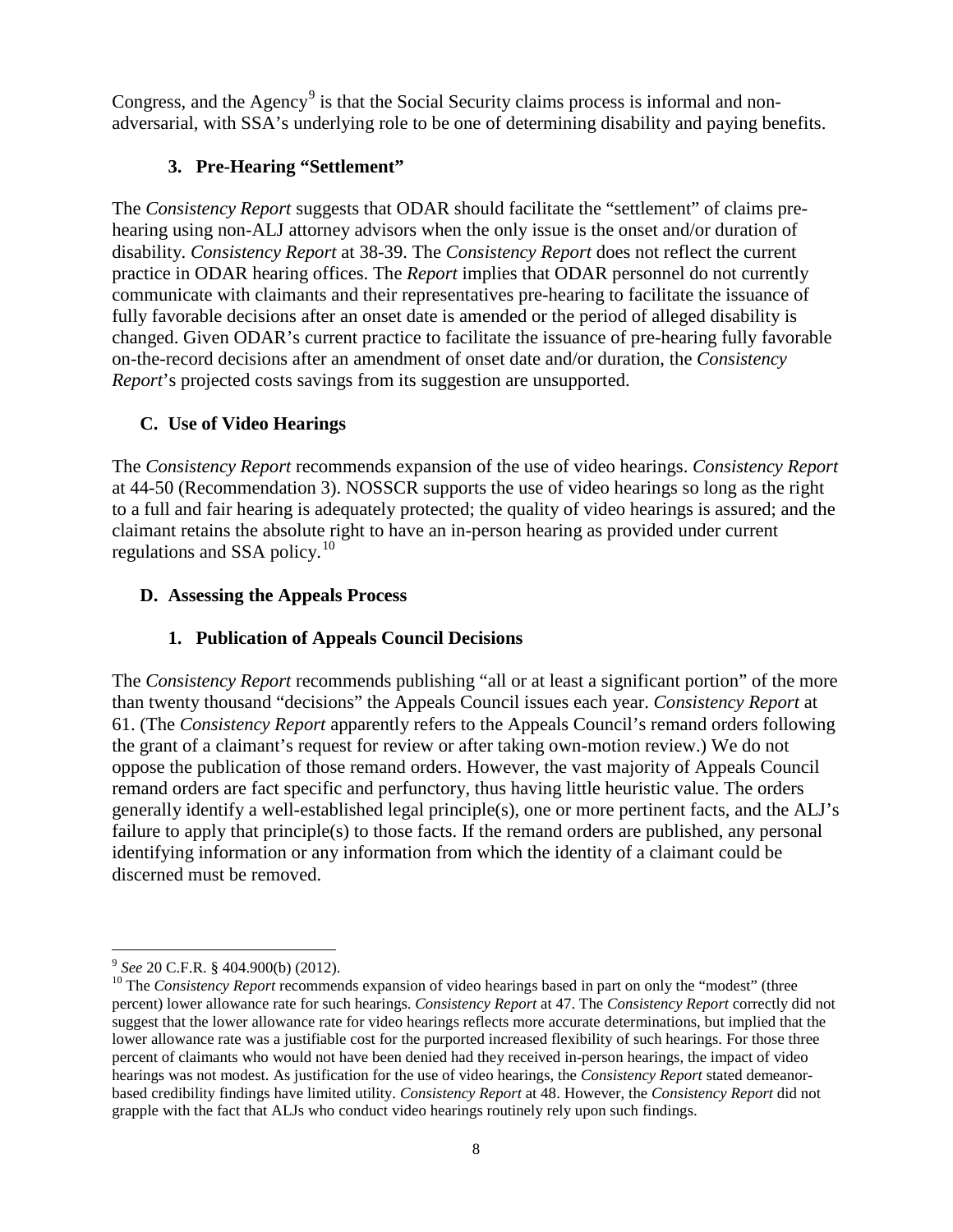Congress, and the Agency<sup>[9](#page-7-0)</sup> is that the Social Security claims process is informal and nonadversarial, with SSA's underlying role to be one of determining disability and paying benefits.

### **3. Pre-Hearing "Settlement"**

The *Consistency Report* suggests that ODAR should facilitate the "settlement" of claims prehearing using non-ALJ attorney advisors when the only issue is the onset and/or duration of disability. *Consistency Report* at 38-39. The *Consistency Report* does not reflect the current practice in ODAR hearing offices. The *Report* implies that ODAR personnel do not currently communicate with claimants and their representatives pre-hearing to facilitate the issuance of fully favorable decisions after an onset date is amended or the period of alleged disability is changed. Given ODAR's current practice to facilitate the issuance of pre-hearing fully favorable on-the-record decisions after an amendment of onset date and/or duration, the *Consistency Report*'s projected costs savings from its suggestion are unsupported.

### **C. Use of Video Hearings**

The *Consistency Report* recommends expansion of the use of video hearings. *Consistency Report* at 44-50 (Recommendation 3). NOSSCR supports the use of video hearings so long as the right to a full and fair hearing is adequately protected; the quality of video hearings is assured; and the claimant retains the absolute right to have an in-person hearing as provided under current regulations and SSA policy.<sup>[10](#page-7-1)</sup>

### **D. Assessing the Appeals Process**

## **1. Publication of Appeals Council Decisions**

The *Consistency Report* recommends publishing "all or at least a significant portion" of the more than twenty thousand "decisions" the Appeals Council issues each year. *Consistency Report* at 61. (The *Consistency Report* apparently refers to the Appeals Council's remand orders following the grant of a claimant's request for review or after taking own-motion review.) We do not oppose the publication of those remand orders. However, the vast majority of Appeals Council remand orders are fact specific and perfunctory, thus having little heuristic value. The orders generally identify a well-established legal principle(s), one or more pertinent facts, and the ALJ's failure to apply that principle(s) to those facts. If the remand orders are published, any personal identifying information or any information from which the identity of a claimant could be discerned must be removed.

<span id="page-7-1"></span><span id="page-7-0"></span><sup>&</sup>lt;sup>9</sup> See 20 C.F.R. § 404.900(b) (2012).<br><sup>10</sup> The *Consistency Report* recommends expansion of video hearings based in part on only the "modest" (three percent) lower allowance rate for such hearings. *Consistency Report* at 47. The *Consistency Report* correctly did not suggest that the lower allowance rate for video hearings reflects more accurate determinations, but implied that the lower allowance rate was a justifiable cost for the purported increased flexibility of such hearings. For those three percent of claimants who would not have been denied had they received in-person hearings, the impact of video hearings was not modest. As justification for the use of video hearings, the *Consistency Report* stated demeanorbased credibility findings have limited utility. *Consistency Report* at 48. However, the *Consistency Report* did not grapple with the fact that ALJs who conduct video hearings routinely rely upon such findings.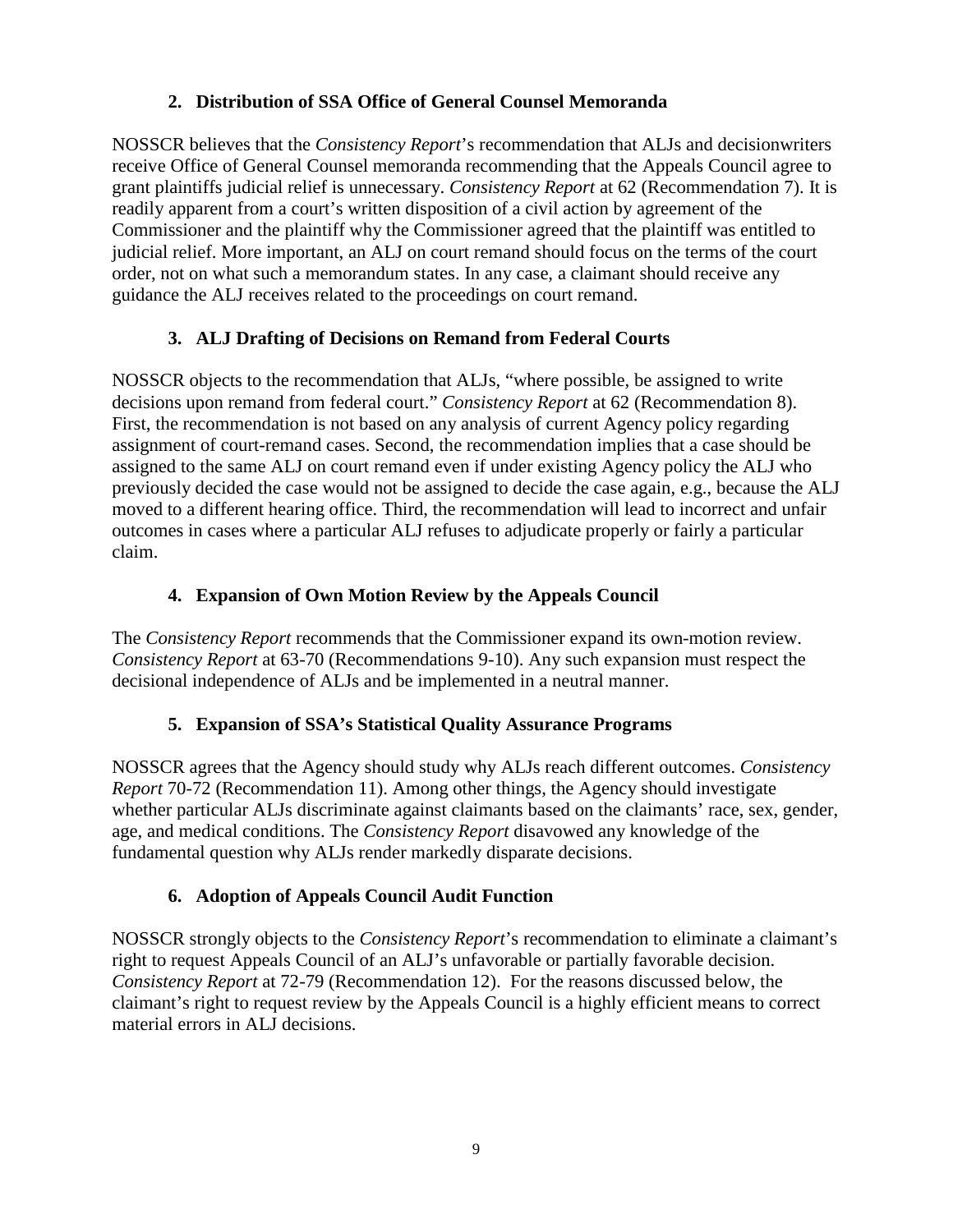### **2. Distribution of SSA Office of General Counsel Memoranda**

NOSSCR believes that the *Consistency Report*'s recommendation that ALJs and decisionwriters receive Office of General Counsel memoranda recommending that the Appeals Council agree to grant plaintiffs judicial relief is unnecessary. *Consistency Report* at 62 (Recommendation 7). It is readily apparent from a court's written disposition of a civil action by agreement of the Commissioner and the plaintiff why the Commissioner agreed that the plaintiff was entitled to judicial relief. More important, an ALJ on court remand should focus on the terms of the court order, not on what such a memorandum states. In any case, a claimant should receive any guidance the ALJ receives related to the proceedings on court remand.

### **3. ALJ Drafting of Decisions on Remand from Federal Courts**

NOSSCR objects to the recommendation that ALJs, "where possible, be assigned to write decisions upon remand from federal court." *Consistency Report* at 62 (Recommendation 8). First, the recommendation is not based on any analysis of current Agency policy regarding assignment of court-remand cases. Second, the recommendation implies that a case should be assigned to the same ALJ on court remand even if under existing Agency policy the ALJ who previously decided the case would not be assigned to decide the case again, e.g., because the ALJ moved to a different hearing office. Third, the recommendation will lead to incorrect and unfair outcomes in cases where a particular ALJ refuses to adjudicate properly or fairly a particular claim.

### **4. Expansion of Own Motion Review by the Appeals Council**

The *Consistency Report* recommends that the Commissioner expand its own-motion review. *Consistency Report* at 63-70 (Recommendations 9-10). Any such expansion must respect the decisional independence of ALJs and be implemented in a neutral manner.

#### **5. Expansion of SSA's Statistical Quality Assurance Programs**

NOSSCR agrees that the Agency should study why ALJs reach different outcomes. *Consistency Report* 70-72 (Recommendation 11). Among other things, the Agency should investigate whether particular ALJs discriminate against claimants based on the claimants' race, sex, gender, age, and medical conditions. The *Consistency Report* disavowed any knowledge of the fundamental question why ALJs render markedly disparate decisions.

## **6. Adoption of Appeals Council Audit Function**

NOSSCR strongly objects to the *Consistency Report*'s recommendation to eliminate a claimant's right to request Appeals Council of an ALJ's unfavorable or partially favorable decision. *Consistency Report* at 72-79 (Recommendation 12). For the reasons discussed below, the claimant's right to request review by the Appeals Council is a highly efficient means to correct material errors in ALJ decisions.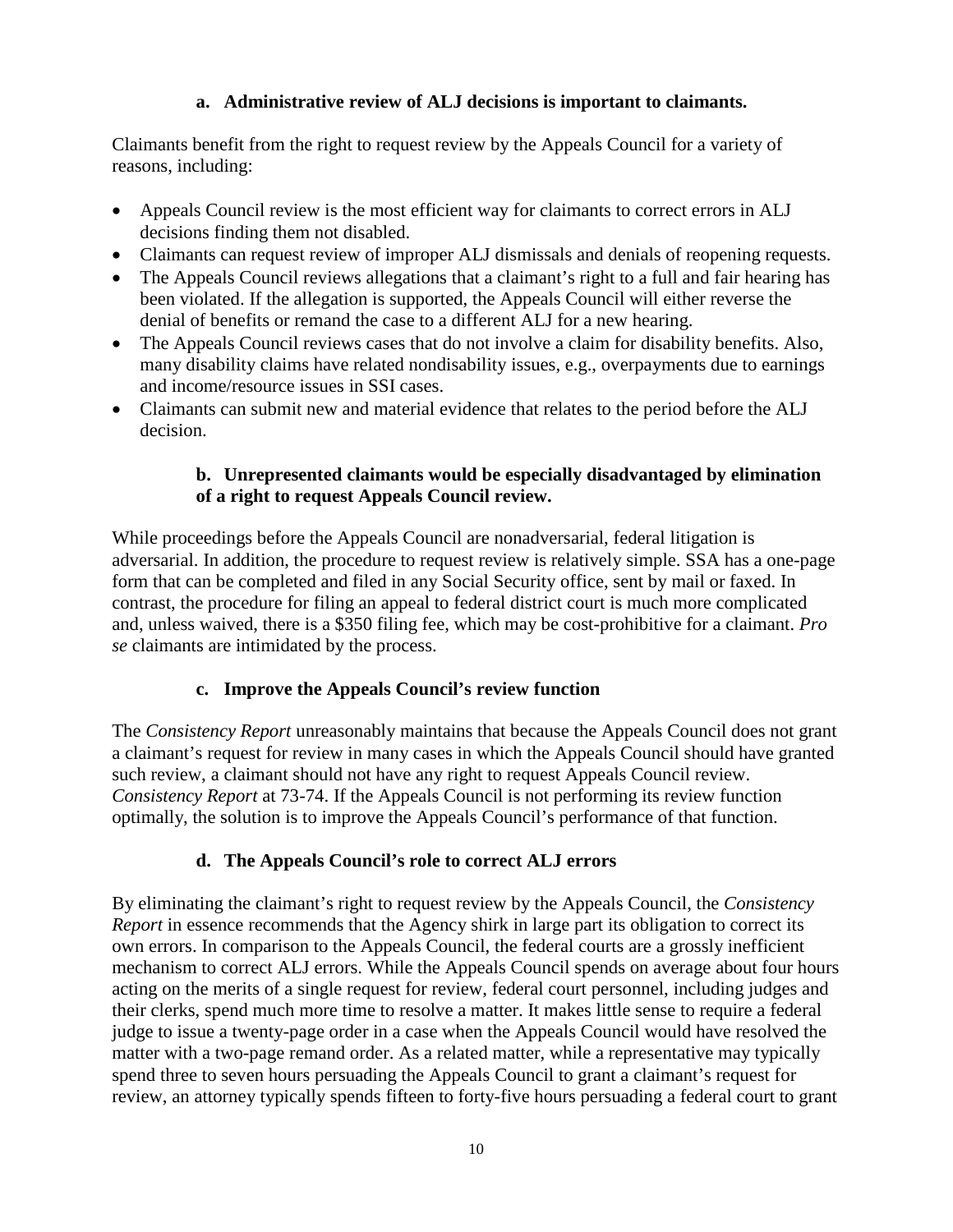#### **a. Administrative review of ALJ decisions is important to claimants.**

Claimants benefit from the right to request review by the Appeals Council for a variety of reasons, including:

- Appeals Council review is the most efficient way for claimants to correct errors in ALJ decisions finding them not disabled.
- Claimants can request review of improper ALJ dismissals and denials of reopening requests.
- The Appeals Council reviews allegations that a claimant's right to a full and fair hearing has been violated. If the allegation is supported, the Appeals Council will either reverse the denial of benefits or remand the case to a different ALJ for a new hearing.
- The Appeals Council reviews cases that do not involve a claim for disability benefits. Also, many disability claims have related nondisability issues, e.g., overpayments due to earnings and income/resource issues in SSI cases.
- Claimants can submit new and material evidence that relates to the period before the ALJ decision.

#### **b. Unrepresented claimants would be especially disadvantaged by elimination of a right to request Appeals Council review.**

While proceedings before the Appeals Council are nonadversarial, federal litigation is adversarial. In addition, the procedure to request review is relatively simple. SSA has a one-page form that can be completed and filed in any Social Security office, sent by mail or faxed. In contrast, the procedure for filing an appeal to federal district court is much more complicated and, unless waived, there is a \$350 filing fee, which may be cost-prohibitive for a claimant. *Pro se* claimants are intimidated by the process.

#### **c. Improve the Appeals Council's review function**

The *Consistency Report* unreasonably maintains that because the Appeals Council does not grant a claimant's request for review in many cases in which the Appeals Council should have granted such review, a claimant should not have any right to request Appeals Council review. *Consistency Report* at 73-74. If the Appeals Council is not performing its review function optimally, the solution is to improve the Appeals Council's performance of that function.

#### **d. The Appeals Council's role to correct ALJ errors**

By eliminating the claimant's right to request review by the Appeals Council, the *Consistency Report* in essence recommends that the Agency shirk in large part its obligation to correct its own errors. In comparison to the Appeals Council, the federal courts are a grossly inefficient mechanism to correct ALJ errors. While the Appeals Council spends on average about four hours acting on the merits of a single request for review, federal court personnel, including judges and their clerks, spend much more time to resolve a matter. It makes little sense to require a federal judge to issue a twenty-page order in a case when the Appeals Council would have resolved the matter with a two-page remand order. As a related matter, while a representative may typically spend three to seven hours persuading the Appeals Council to grant a claimant's request for review, an attorney typically spends fifteen to forty-five hours persuading a federal court to grant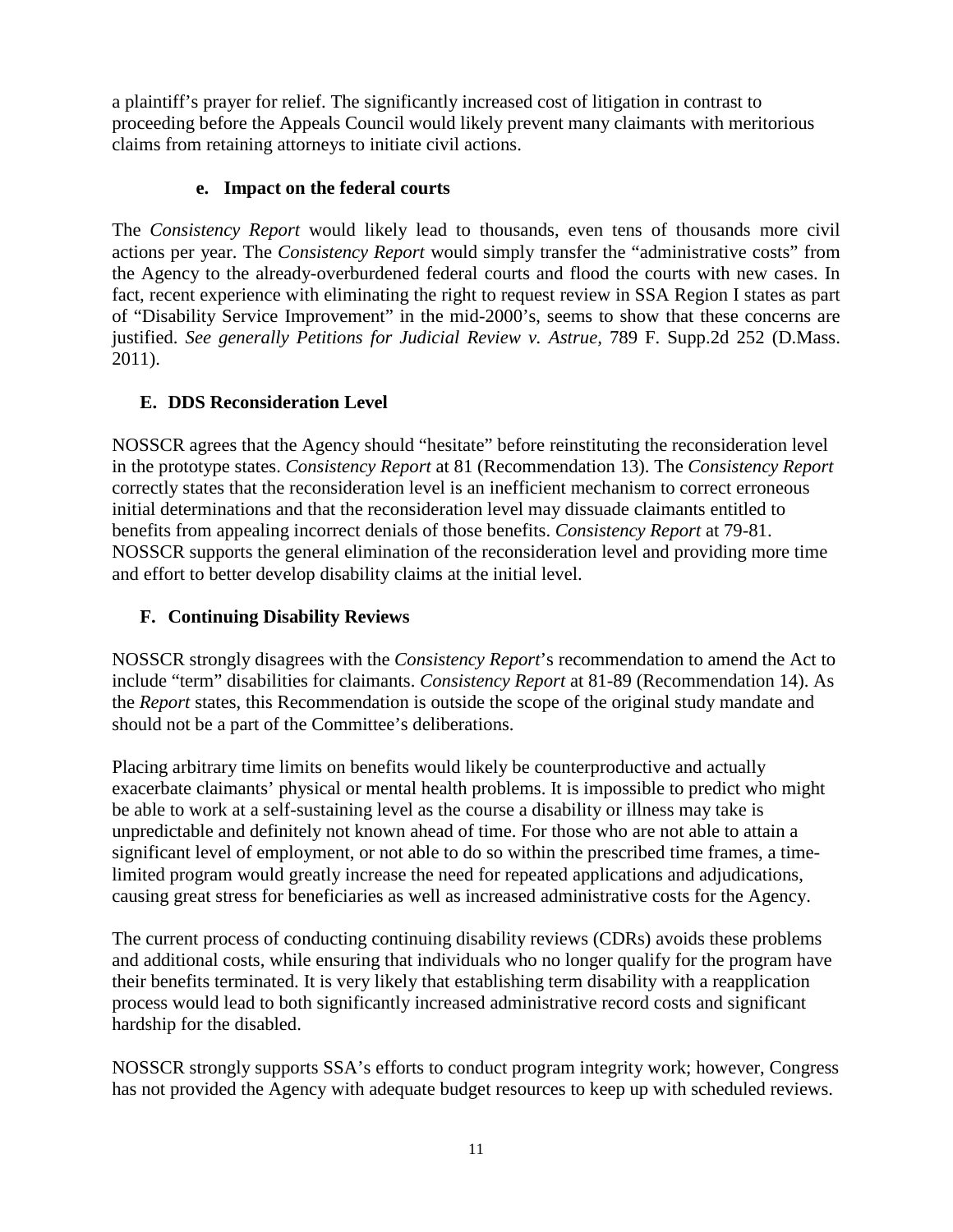a plaintiff's prayer for relief. The significantly increased cost of litigation in contrast to proceeding before the Appeals Council would likely prevent many claimants with meritorious claims from retaining attorneys to initiate civil actions.

#### **e. Impact on the federal courts**

The *Consistency Report* would likely lead to thousands, even tens of thousands more civil actions per year. The *Consistency Report* would simply transfer the "administrative costs" from the Agency to the already-overburdened federal courts and flood the courts with new cases. In fact, recent experience with eliminating the right to request review in SSA Region I states as part of "Disability Service Improvement" in the mid-2000's, seems to show that these concerns are justified. *See generally Petitions for Judicial Review v. Astrue, 789 F. Supp.2d 252 (D.Mass.* 2011).

## **E. DDS Reconsideration Level**

NOSSCR agrees that the Agency should "hesitate" before reinstituting the reconsideration level in the prototype states. *Consistency Report* at 81 (Recommendation 13). The *Consistency Report* correctly states that the reconsideration level is an inefficient mechanism to correct erroneous initial determinations and that the reconsideration level may dissuade claimants entitled to benefits from appealing incorrect denials of those benefits. *Consistency Report* at 79-81. NOSSCR supports the general elimination of the reconsideration level and providing more time and effort to better develop disability claims at the initial level.

## **F. Continuing Disability Reviews**

NOSSCR strongly disagrees with the *Consistency Report*'s recommendation to amend the Act to include "term" disabilities for claimants. *Consistency Report* at 81-89 (Recommendation 14). As the *Report* states, this Recommendation is outside the scope of the original study mandate and should not be a part of the Committee's deliberations.

Placing arbitrary time limits on benefits would likely be counterproductive and actually exacerbate claimants' physical or mental health problems. It is impossible to predict who might be able to work at a self-sustaining level as the course a disability or illness may take is unpredictable and definitely not known ahead of time. For those who are not able to attain a significant level of employment, or not able to do so within the prescribed time frames, a timelimited program would greatly increase the need for repeated applications and adjudications, causing great stress for beneficiaries as well as increased administrative costs for the Agency.

The current process of conducting continuing disability reviews (CDRs) avoids these problems and additional costs, while ensuring that individuals who no longer qualify for the program have their benefits terminated. It is very likely that establishing term disability with a reapplication process would lead to both significantly increased administrative record costs and significant hardship for the disabled.

NOSSCR strongly supports SSA's efforts to conduct program integrity work; however, Congress has not provided the Agency with adequate budget resources to keep up with scheduled reviews.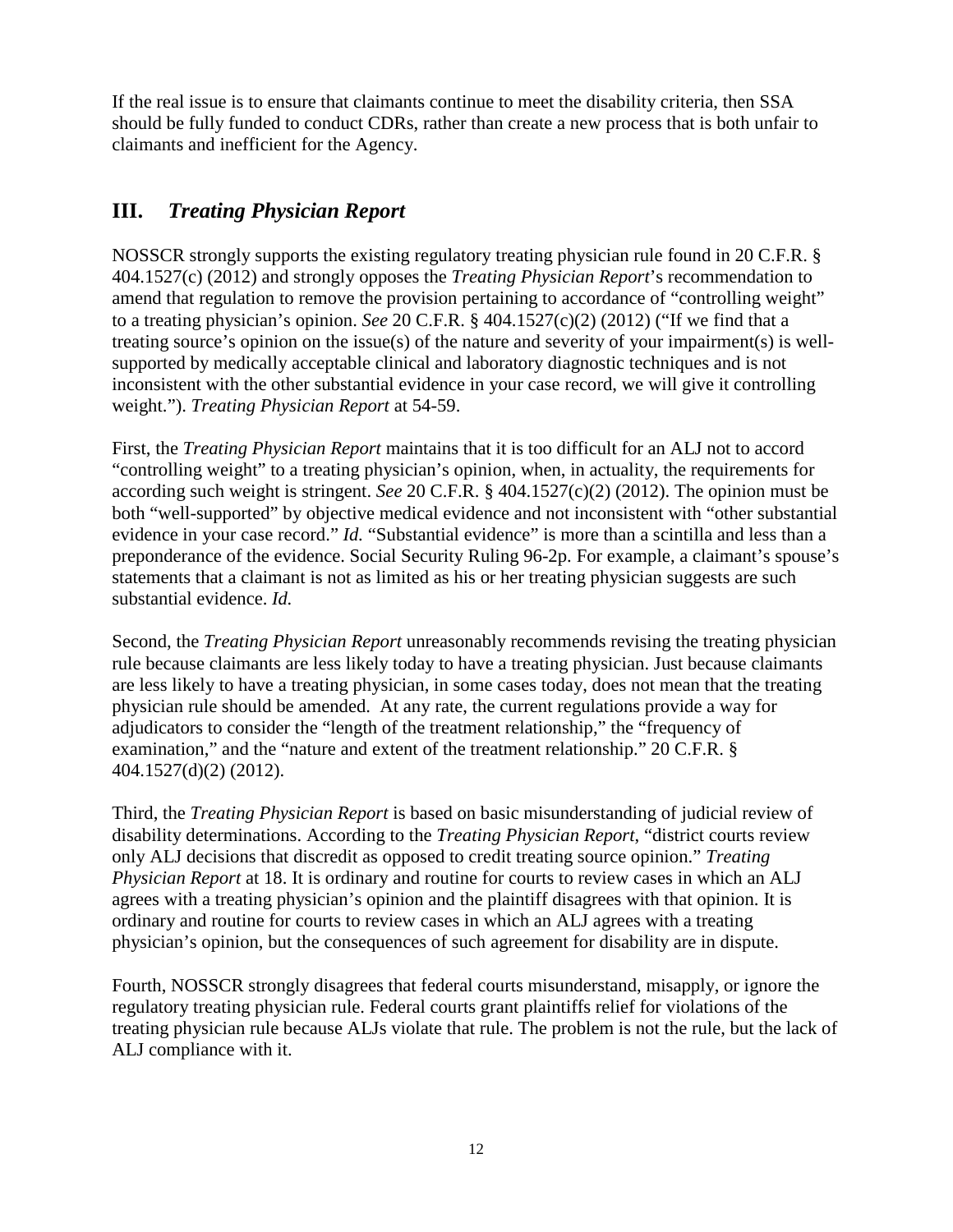If the real issue is to ensure that claimants continue to meet the disability criteria, then SSA should be fully funded to conduct CDRs, rather than create a new process that is both unfair to claimants and inefficient for the Agency.

# **III.** *Treating Physician Report*

NOSSCR strongly supports the existing regulatory treating physician rule found in 20 C.F.R. § 404.1527(c) (2012) and strongly opposes the *Treating Physician Report*'s recommendation to amend that regulation to remove the provision pertaining to accordance of "controlling weight" to a treating physician's opinion. *See* 20 C.F.R. § 404.1527(c)(2) (2012) ("If we find that a treating source's opinion on the issue(s) of the nature and severity of your impairment(s) is wellsupported by medically acceptable clinical and laboratory diagnostic techniques and is not inconsistent with the other substantial evidence in your case record, we will give it controlling weight."). *Treating Physician Report* at 54-59.

First, the *Treating Physician Report* maintains that it is too difficult for an ALJ not to accord "controlling weight" to a treating physician's opinion, when, in actuality, the requirements for according such weight is stringent. *See* 20 C.F.R. § 404.1527(c)(2) (2012). The opinion must be both "well-supported" by objective medical evidence and not inconsistent with "other substantial evidence in your case record." *Id.* "Substantial evidence" is more than a scintilla and less than a preponderance of the evidence. Social Security Ruling 96-2p. For example, a claimant's spouse's statements that a claimant is not as limited as his or her treating physician suggests are such substantial evidence. *Id.*

Second, the *Treating Physician Report* unreasonably recommends revising the treating physician rule because claimants are less likely today to have a treating physician. Just because claimants are less likely to have a treating physician, in some cases today, does not mean that the treating physician rule should be amended. At any rate, the current regulations provide a way for adjudicators to consider the "length of the treatment relationship," the "frequency of examination," and the "nature and extent of the treatment relationship." 20 C.F.R. § 404.1527(d)(2) (2012).

Third, the *Treating Physician Report* is based on basic misunderstanding of judicial review of disability determinations. According to the *Treating Physician Report*, "district courts review only ALJ decisions that discredit as opposed to credit treating source opinion." *Treating Physician Report* at 18. It is ordinary and routine for courts to review cases in which an ALJ agrees with a treating physician's opinion and the plaintiff disagrees with that opinion. It is ordinary and routine for courts to review cases in which an ALJ agrees with a treating physician's opinion, but the consequences of such agreement for disability are in dispute.

Fourth, NOSSCR strongly disagrees that federal courts misunderstand, misapply, or ignore the regulatory treating physician rule. Federal courts grant plaintiffs relief for violations of the treating physician rule because ALJs violate that rule. The problem is not the rule, but the lack of ALJ compliance with it.